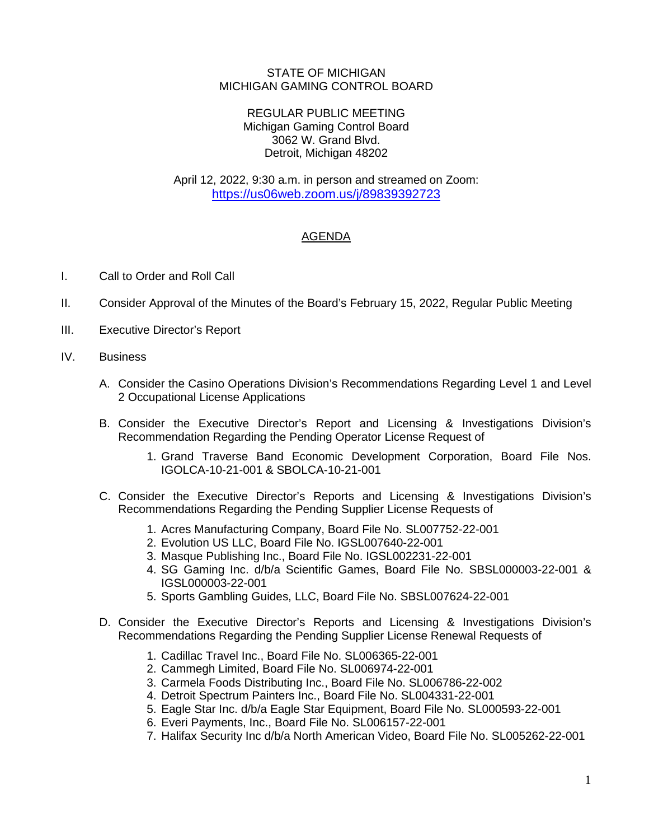## STATE OF MICHIGAN MICHIGAN GAMING CONTROL BOARD

## REGULAR PUBLIC MEETING Michigan Gaming Control Board 3062 W. Grand Blvd. Detroit, Michigan 48202

April 12, 2022, 9:30 a.m. in person and streamed on Zoom: <https://us06web.zoom.us/j/89839392723>

## AGENDA

- I. Call to Order and Roll Call
- II. Consider Approval of the Minutes of the Board's February 15, 2022, Regular Public Meeting
- III. Executive Director's Report
- IV. Business
	- A. Consider the Casino Operations Division's Recommendations Regarding Level 1 and Level 2 Occupational License Applications
	- B. Consider the Executive Director's Report and Licensing & Investigations Division's Recommendation Regarding the Pending Operator License Request of
		- 1. Grand Traverse Band Economic Development Corporation, Board File Nos. IGOLCA-10-21-001 & SBOLCA-10-21-001
	- C. Consider the Executive Director's Reports and Licensing & Investigations Division's Recommendations Regarding the Pending Supplier License Requests of
		- 1. Acres Manufacturing Company, Board File No. SL007752-22-001
		- 2. Evolution US LLC, Board File No. IGSL007640-22-001
		- 3. Masque Publishing Inc., Board File No. IGSL002231-22-001
		- 4. SG Gaming Inc. d/b/a Scientific Games, Board File No. SBSL000003-22-001 & IGSL000003-22-001
		- 5. Sports Gambling Guides, LLC, Board File No. SBSL007624-22-001
	- D. Consider the Executive Director's Reports and Licensing & Investigations Division's Recommendations Regarding the Pending Supplier License Renewal Requests of
		- 1. Cadillac Travel Inc., Board File No. SL006365-22-001
		- 2. Cammegh Limited, Board File No. SL006974-22-001
		- 3. Carmela Foods Distributing Inc., Board File No. SL006786-22-002
		- 4. Detroit Spectrum Painters Inc., Board File No. SL004331-22-001
		- 5. Eagle Star Inc. d/b/a Eagle Star Equipment, Board File No. SL000593-22-001
		- 6. Everi Payments, Inc., Board File No. SL006157-22-001
		- 7. Halifax Security Inc d/b/a North American Video, Board File No. SL005262-22-001